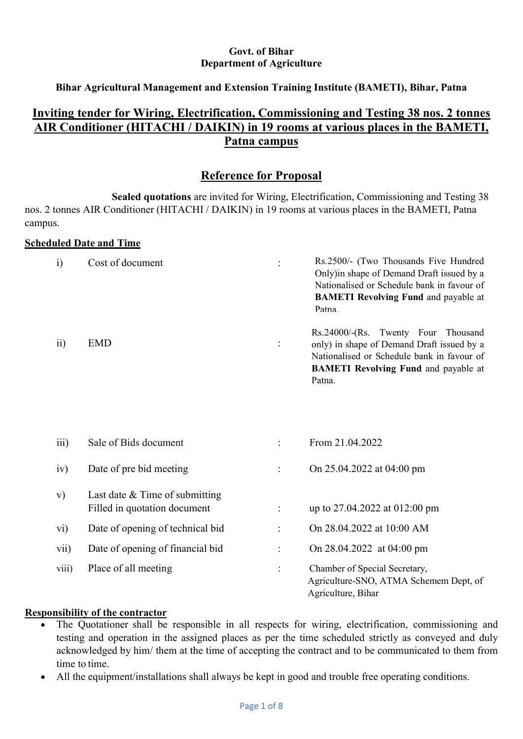### Govt. of Bihar Department of Agriculture

### Bihar Agricultural Management and Extension Training Institute (BAMETI), Bihar, Patna

# Inviting tender for Wiring, Electrification, Commissioning and Testing 38 nos. 2 tonnes AIR Conditioner (HITACHI / DAIKIN) in 19 rooms at various places in the BAMETI, Patna campus

## Reference for Proposal

Sealed quotations are invited for Wiring, Electrification, Commissioning and Testing 38 nos. 2 tonnes AIR Conditioner (HITACHI / DAIKIN) in 19 rooms at various places in the BAMETI, Patna campus.

### Scheduled Date and Time

| $\ddot{i}$       | Cost of document                                                 |                     | Rs.2500/- (Two Thousands Five Hundred<br>Only) in shape of Demand Draft issued by a<br>Nationalised or Schedule bank in favour of<br><b>BAMETI Revolving Fund and payable at</b><br>Patna. |
|------------------|------------------------------------------------------------------|---------------------|--------------------------------------------------------------------------------------------------------------------------------------------------------------------------------------------|
| $\overline{11}$  | <b>EMD</b>                                                       | $\ddot{\cdot}$      | Rs.24000/-(Rs. Twenty Four Thousand<br>only) in shape of Demand Draft issued by a<br>Nationalised or Schedule bank in favour of<br><b>BAMETI Revolving Fund and payable at</b><br>Patna.   |
| $\overline{111}$ | Sale of Bids document                                            | $\dot{\phantom{a}}$ | From 21.04.2022                                                                                                                                                                            |
| iv)              | Date of pre bid meeting                                          | $\ddot{\cdot}$      | On 25.04.2022 at 04:00 pm                                                                                                                                                                  |
| V)               | Last date $&$ Time of submitting<br>Filled in quotation document |                     | up to 27.04.2022 at 012:00 pm                                                                                                                                                              |
| $\rm\,vi)$       | Date of opening of technical bid                                 |                     | On 28.04.2022 at 10:00 AM                                                                                                                                                                  |
| vii)             | Date of opening of financial bid                                 | $\ddot{\cdot}$      | On 28.04.2022 at 04:00 pm                                                                                                                                                                  |
| viii)            | Place of all meeting                                             | $\ddot{\cdot}$      | Chamber of Special Secretary,<br>Agriculture-SNO, ATMA Schemem Dept, of<br>Agriculture, Bihar                                                                                              |

#### Responsibility of the contractor

- The Quotationer shall be responsible in all respects for wiring, electrification, commissioning and testing and operation in the assigned places as per the time scheduled strictly as conveyed and duly acknowledged by him/ them at the time of accepting the contract and to be communicated to them from time to time.
- All the equipment/installations shall always be kept in good and trouble free operating conditions.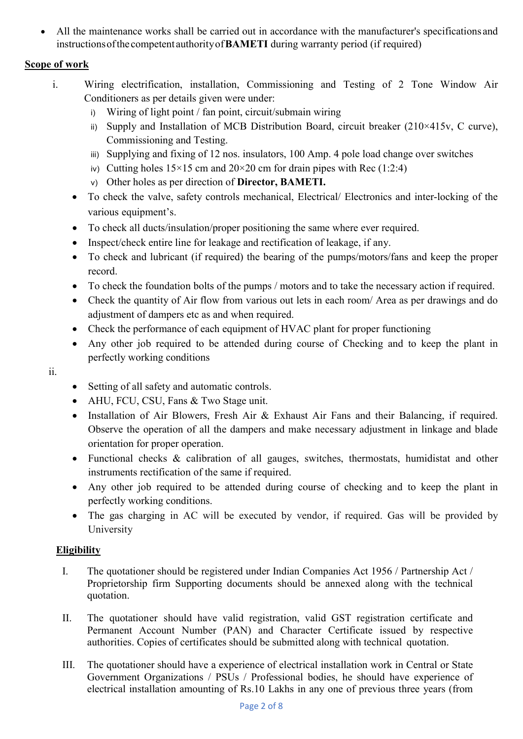All the maintenance works shall be carried out in accordance with the manufacturer's specifications and instructions of the competent authority of BAMETI during warranty period (if required)

# Scope of work

- i. Wiring electrification, installation, Commissioning and Testing of 2 Tone Window Air Conditioners as per details given were under:
	- i) Wiring of light point / fan point, circuit/submain wiring
	- ii) Supply and Installation of MCB Distribution Board, circuit breaker  $(210 \times 415v, C$  curve), Commissioning and Testing.
	- iii) Supplying and fixing of 12 nos. insulators, 100 Amp. 4 pole load change over switches
	- iv) Cutting holes  $15 \times 15$  cm and  $20 \times 20$  cm for drain pipes with Rec (1:2:4)
	- v) Other holes as per direction of Director, BAMETI.
	- To check the valve, safety controls mechanical, Electrical/ Electronics and inter-locking of the various equipment's.
	- To check all ducts/insulation/proper positioning the same where ever required.
	- Inspect/check entire line for leakage and rectification of leakage, if any.
	- To check and lubricant (if required) the bearing of the pumps/motors/fans and keep the proper record.
	- To check the foundation bolts of the pumps / motors and to take the necessary action if required.
	- Check the quantity of Air flow from various out lets in each room/ Area as per drawings and do adjustment of dampers etc as and when required.
	- Check the performance of each equipment of HVAC plant for proper functioning
	- Any other job required to be attended during course of Checking and to keep the plant in perfectly working conditions
- ii.
- Setting of all safety and automatic controls.
- AHU, FCU, CSU, Fans & Two Stage unit.
- Installation of Air Blowers, Fresh Air & Exhaust Air Fans and their Balancing, if required. Observe the operation of all the dampers and make necessary adjustment in linkage and blade orientation for proper operation.
- Functional checks & calibration of all gauges, switches, thermostats, humidistat and other instruments rectification of the same if required.
- Any other job required to be attended during course of checking and to keep the plant in perfectly working conditions.
- The gas charging in AC will be executed by vendor, if required. Gas will be provided by University

## **Eligibility**

- I. The quotationer should be registered under Indian Companies Act 1956 / Partnership Act / Proprietorship firm Supporting documents should be annexed along with the technical quotation.
- II. The quotationer should have valid registration, valid GST registration certificate and Permanent Account Number (PAN) and Character Certificate issued by respective authorities. Copies of certificates should be submitted along with technical quotation.
- III. The quotationer should have a experience of electrical installation work in Central or State Government Organizations / PSUs / Professional bodies, he should have experience of electrical installation amounting of Rs.10 Lakhs in any one of previous three years (from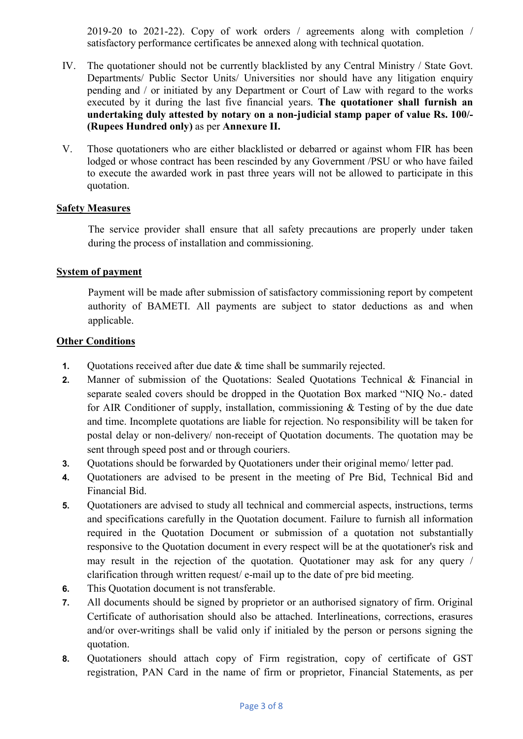2019-20 to 2021-22). Copy of work orders / agreements along with completion / satisfactory performance certificates be annexed along with technical quotation.

- IV. The quotationer should not be currently blacklisted by any Central Ministry / State Govt. Departments/ Public Sector Units/ Universities nor should have any litigation enquiry pending and / or initiated by any Department or Court of Law with regard to the works executed by it during the last five financial years. The quotationer shall furnish an undertaking duly attested by notary on a non-judicial stamp paper of value Rs. 100/- (Rupees Hundred only) as per Annexure II.
- V. Those quotationers who are either blacklisted or debarred or against whom FIR has been lodged or whose contract has been rescinded by any Government /PSU or who have failed to execute the awarded work in past three years will not be allowed to participate in this quotation.

#### Safety Measures

The service provider shall ensure that all safety precautions are properly under taken during the process of installation and commissioning.

#### System of payment

Payment will be made after submission of satisfactory commissioning report by competent authority of BAMETI. All payments are subject to stator deductions as and when applicable.

#### **Other Conditions**

- 1. Quotations received after due date & time shall be summarily rejected.
- 2. Manner of submission of the Quotations: Sealed Quotations Technical & Financial in separate sealed covers should be dropped in the Quotation Box marked "NIQ No.- dated for AIR Conditioner of supply, installation, commissioning & Testing of by the due date and time. Incomplete quotations are liable for rejection. No responsibility will be taken for postal delay or non-delivery/ non-receipt of Quotation documents. The quotation may be sent through speed post and or through couriers.
- 3. Quotations should be forwarded by Quotationers under their original memo/ letter pad.
- 4. Quotationers are advised to be present in the meeting of Pre Bid, Technical Bid and Financial Bid.
- 5. Quotationers are advised to study all technical and commercial aspects, instructions, terms and specifications carefully in the Quotation document. Failure to furnish all information required in the Quotation Document or submission of a quotation not substantially responsive to the Quotation document in every respect will be at the quotationer's risk and may result in the rejection of the quotation. Quotationer may ask for any query / clarification through written request/ e-mail up to the date of pre bid meeting.
- 6. This Quotation document is not transferable.
- 7. All documents should be signed by proprietor or an authorised signatory of firm. Original Certificate of authorisation should also be attached. Interlineations, corrections, erasures and/or over-writings shall be valid only if initialed by the person or persons signing the quotation.
- 8. Quotationers should attach copy of Firm registration, copy of certificate of GST registration, PAN Card in the name of firm or proprietor, Financial Statements, as per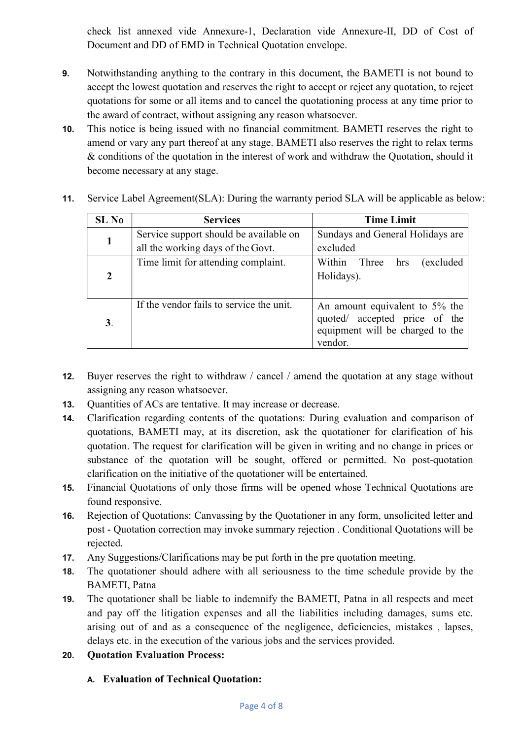check list annexed vide Annexure-1, Declaration vide Annexure-II, DD of Cost of Document and DD of EMD in Technical Quotation envelope.

- 9. Notwithstanding anything to the contrary in this document, the BAMETI is not bound to accept the lowest quotation and reserves the right to accept or reject any quotation, to reject quotations for some or all items and to cancel the quotationing process at any time prior to the award of contract, without assigning any reason whatsoever.
- 10. This notice is being issued with no financial commitment. BAMETI reserves the right to amend or vary any part thereof at any stage. BAMETI also reserves the right to relax terms & conditions of the quotation in the interest of work and withdraw the Quotation, should it become necessary at any stage.

| SL <sub>No</sub> | <b>Services</b>                                                             | <b>Time Limit</b>                                                                                              |
|------------------|-----------------------------------------------------------------------------|----------------------------------------------------------------------------------------------------------------|
|                  | Service support should be available on<br>all the working days of the Govt. | Sundays and General Holidays are<br>excluded                                                                   |
| $\mathfrak{D}$   | Time limit for attending complaint.                                         | Within Three<br>excluded<br>hrs<br>Holidays).                                                                  |
| 3 <sub>1</sub>   | If the vendor fails to service the unit.                                    | An amount equivalent to 5% the<br>quoted/ accepted price of the<br>equipment will be charged to the<br>vendor. |

11. Service Label Agreement(SLA): During the warranty period SLA will be applicable as below:

- 12. Buyer reserves the right to withdraw / cancel / amend the quotation at any stage without assigning any reason whatsoever.
- 13. Quantities of ACs are tentative. It may increase or decrease.
- 14. Clarification regarding contents of the quotations: During evaluation and comparison of quotations, BAMETI may, at its discretion, ask the quotationer for clarification of his quotation. The request for clarification will be given in writing and no change in prices or substance of the quotation will be sought, offered or permitted. No post-quotation clarification on the initiative of the quotationer will be entertained.
- 15. Financial Quotations of only those firms will be opened whose Technical Quotations are found responsive.
- 16. Rejection of Quotations: Canvassing by the Quotationer in any form, unsolicited letter and post - Quotation correction may invoke summary rejection . Conditional Quotations will be rejected.
- 17. Any Suggestions/Clarifications may be put forth in the pre quotation meeting.
- 18. The quotationer should adhere with all seriousness to the time schedule provide by the BAMETI, Patna
- 19. The quotationer shall be liable to indemnify the BAMETI, Patna in all respects and meet and pay off the litigation expenses and all the liabilities including damages, sums etc. arising out of and as a consequence of the negligence, deficiencies, mistakes , lapses, delays etc. in the execution of the various jobs and the services provided.
- 20. Quotation Evaluation Process:

## A. Evaluation of Technical Quotation: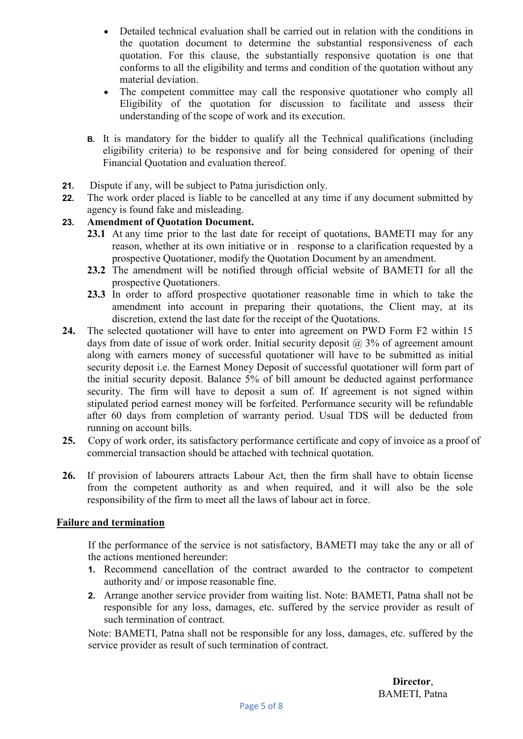- Detailed technical evaluation shall be carried out in relation with the conditions in the quotation document to determine the substantial responsiveness of each quotation. For this clause, the substantially responsive quotation is one that conforms to all the eligibility and terms and condition of the quotation without any material deviation.
- The competent committee may call the responsive quotationer who comply all Eligibility of the quotation for discussion to facilitate and assess their understanding of the scope of work and its execution.
- B. It is mandatory for the bidder to qualify all the Technical qualifications (including eligibility criteria) to be responsive and for being considered for opening of their Financial Quotation and evaluation thereof.
- 21. Dispute if any, will be subject to Patna jurisdiction only.
- 22. The work order placed is liable to be cancelled at any time if any document submitted by agency is found fake and misleading.

### 23. Amendment of Quotation Document.

- 23.1 At any time prior to the last date for receipt of quotations, BAMETI may for any reason, whether at its own initiative or in . response to a clarification requested by a prospective Quotationer, modify the Quotation Document by an amendment.
- 23.2 The amendment will be notified through official website of BAMETI for all the prospective Quotationers.
- 23.3 In order to afford prospective quotationer reasonable time in which to take the amendment into account in preparing their quotations, the Client may, at its discretion, extend the last date for the receipt of the Quotations.
- 24. The selected quotationer will have to enter into agreement on PWD Form F2 within 15 days from date of issue of work order. Initial security deposit  $\omega$  3% of agreement amount along with earners money of successful quotationer will have to be submitted as initial security deposit i.e. the Earnest Money Deposit of successful quotationer will form part of the initial security deposit. Balance 5% of bill amount be deducted against performance security. The firm will have to deposit a sum of. If agreement is not signed within stipulated period earnest money will be forfeited. Performance security will be refundable after 60 days from completion of warranty period. Usual TDS will be deducted from running on account bills.
- 25. Copy of work order, its satisfactory performance certificate and copy of invoice as a proof of commercial transaction should be attached with technical quotation.
- 26. If provision of labourers attracts Labour Act, then the firm shall have to obtain license from the competent authority as and when required, and it will also be the sole responsibility of the firm to meet all the laws of labour act in force.

### Failure and termination

If the performance of the service is not satisfactory, BAMETI may take the any or all of the actions mentioned hereunder:

- 1. Recommend cancellation of the contract awarded to the contractor to competent authority and/ or impose reasonable fine.
- 2. Arrange another service provider from waiting list. Note: BAMETI, Patna shall not be responsible for any loss, damages, etc. suffered by the service provider as result of such termination of contract.

Note: BAMETI, Patna shall not be responsible for any loss, damages, etc. suffered by the service provider as result of such termination of contract.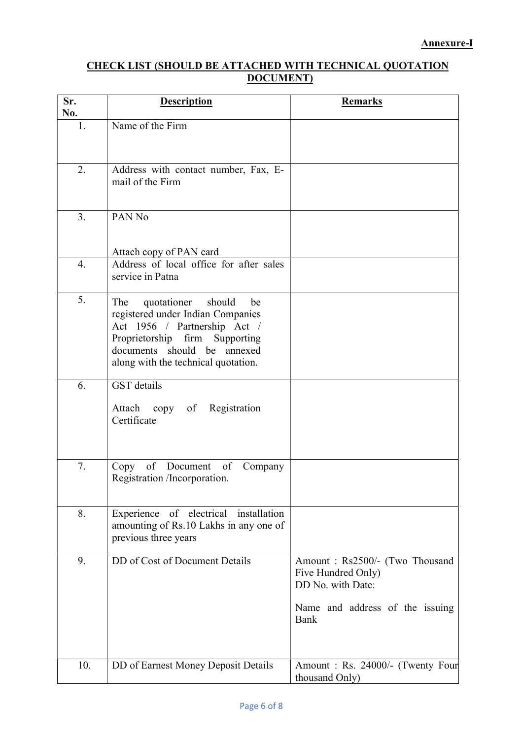#### CHECK LIST (SHOULD BE ATTACHED WITH TECHNICAL QUOTATION DOCUMENT)

| Sr.<br>No.       | <b>Description</b>                                                                                                                                                                                              | <b>Remarks</b>                                                                                                       |
|------------------|-----------------------------------------------------------------------------------------------------------------------------------------------------------------------------------------------------------------|----------------------------------------------------------------------------------------------------------------------|
| 1.               | Name of the Firm                                                                                                                                                                                                |                                                                                                                      |
| 2.               | Address with contact number, Fax, E-<br>mail of the Firm                                                                                                                                                        |                                                                                                                      |
| 3.               | PAN No                                                                                                                                                                                                          |                                                                                                                      |
|                  | Attach copy of PAN card                                                                                                                                                                                         |                                                                                                                      |
| $\overline{4}$ . | Address of local office for after sales<br>service in Patna                                                                                                                                                     |                                                                                                                      |
| 5.               | quotationer<br>should<br>The<br>be<br>registered under Indian Companies<br>Act 1956 / Partnership Act /<br>Proprietorship firm Supporting<br>documents should be annexed<br>along with the technical quotation. |                                                                                                                      |
| 6.               | <b>GST</b> details<br>Attach copy of Registration<br>Certificate                                                                                                                                                |                                                                                                                      |
| 7.               | of Document of<br>Company<br>Copy<br>Registration /Incorporation.                                                                                                                                               |                                                                                                                      |
| 8.               | Experience of electrical installation<br>amounting of Rs.10 Lakhs in any one of<br>previous three years                                                                                                         |                                                                                                                      |
| 9.               | DD of Cost of Document Details                                                                                                                                                                                  | Amount: Rs2500/- (Two Thousand<br>Five Hundred Only)<br>DD No. with Date:<br>Name and address of the issuing<br>Bank |
| 10.              | DD of Earnest Money Deposit Details                                                                                                                                                                             | Amount: Rs. 24000/- (Twenty Four<br>thousand Only)                                                                   |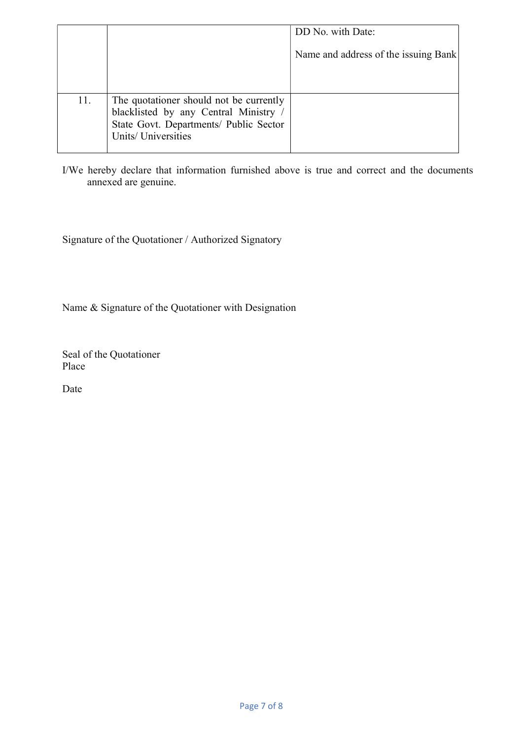|     |                                                                                                                                                 | DD No. with Date:                    |
|-----|-------------------------------------------------------------------------------------------------------------------------------------------------|--------------------------------------|
|     |                                                                                                                                                 | Name and address of the issuing Bank |
|     |                                                                                                                                                 |                                      |
| 11. | The quotationer should not be currently<br>blacklisted by any Central Ministry<br>State Govt. Departments/ Public Sector<br>Units/ Universities |                                      |

I/We hereby declare that information furnished above is true and correct and the documents annexed are genuine.

Signature of the Quotationer / Authorized Signatory

Name & Signature of the Quotationer with Designation

Seal of the Quotationer Place

Date